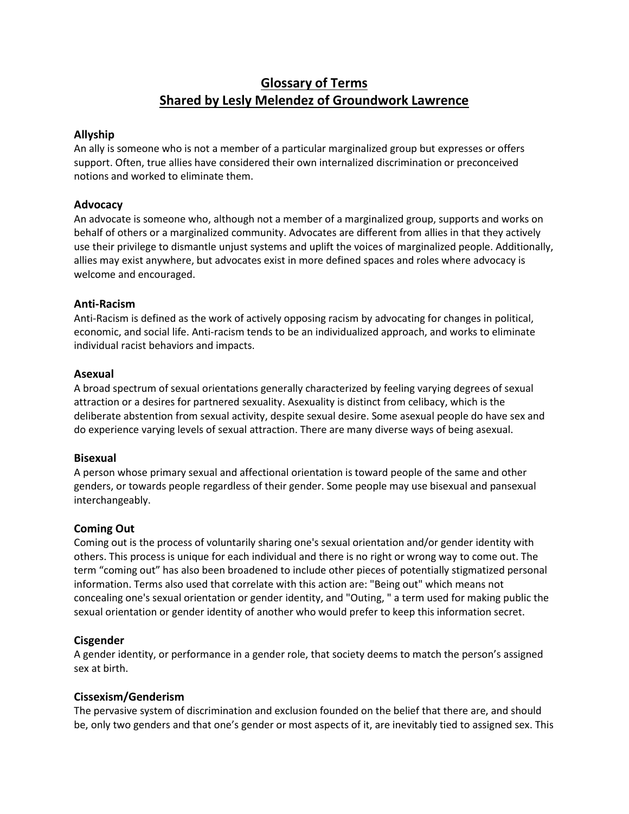# **Glossary of Terms Shared by Lesly Melendez of Groundwork Lawrence**

## **Allyship**

An ally is someone who is not a member of a particular marginalized group but expresses or offers support. Often, true allies have considered their own internalized discrimination or preconceived notions and worked to eliminate them.

## **Advocacy**

An advocate is someone who, although not a member of a marginalized group, supports and works on behalf of others or a marginalized community. Advocates are different from allies in that they actively use their privilege to dismantle unjust systems and uplift the voices of marginalized people. Additionally, allies may exist anywhere, but advocates exist in more defined spaces and roles where advocacy is welcome and encouraged.

## **Anti-Racism**

Anti-Racism is defined as the work of actively opposing racism by advocating for changes in political, economic, and social life. Anti-racism tends to be an individualized approach, and works to eliminate individual racist behaviors and impacts.

## **Asexual**

A broad spectrum of sexual orientations generally characterized by feeling varying degrees of sexual attraction or a desires for partnered sexuality. Asexuality is distinct from celibacy, which is the deliberate abstention from sexual activity, despite sexual desire. Some asexual people do have sex and do experience varying levels of sexual attraction. There are many diverse ways of being asexual.

## **Bisexual**

A person whose primary sexual and affectional orientation is toward people of the same and other genders, or towards people regardless of their gender. Some people may use bisexual and pansexual interchangeably.

# **Coming Out**

Coming out is the process of voluntarily sharing one's sexual orientation and/or gender identity with others. This process is unique for each individual and there is no right or wrong way to come out. The term "coming out" has also been broadened to include other pieces of potentially stigmatized personal information. Terms also used that correlate with this action are: "Being out" which means not concealing one's sexual orientation or gender identity, and "Outing, " a term used for making public the sexual orientation or gender identity of another who would prefer to keep this information secret.

# **Cisgender**

A gender identity, or performance in a gender role, that society deems to match the person's assigned sex at birth.

## **Cissexism/Genderism**

The pervasive system of discrimination and exclusion founded on the belief that there are, and should be, only two genders and that one's gender or most aspects of it, are inevitably tied to assigned sex. This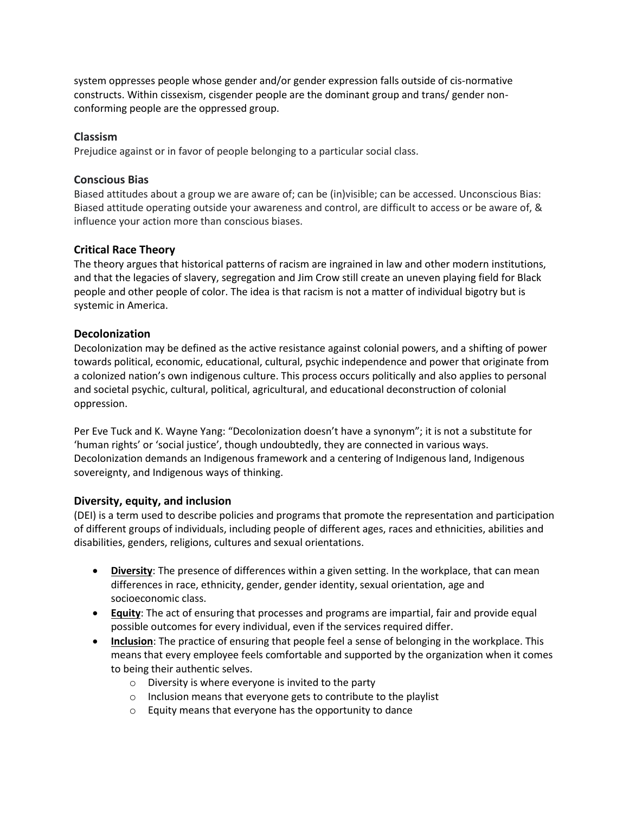system oppresses people whose gender and/or gender expression falls outside of cis-normative constructs. Within cissexism, cisgender people are the dominant group and trans/ gender nonconforming people are the oppressed group.

## **Classism**

Prejudice against or in favor of people belonging to a particular social class.

## **Conscious Bias**

Biased attitudes about a group we are aware of; can be (in)visible; can be accessed. Unconscious Bias: Biased attitude operating outside your awareness and control, are difficult to access or be aware of, & influence your action more than conscious biases.

# **Critical Race Theory**

The theory argues that historical patterns of racism are ingrained in law and other modern institutions, and that the legacies of slavery, segregation and Jim Crow still create an uneven playing field for Black people and other people of color. The idea is that racism is not a matter of individual bigotry but is systemic in America.

## **Decolonization**

Decolonization may be defined as the active resistance against colonial powers, and a shifting of power towards political, economic, educational, cultural, psychic independence and power that originate from a colonized nation's own indigenous culture. This process occurs politically and also applies to personal and societal psychic, cultural, political, agricultural, and educational deconstruction of colonial oppression.

Per Eve Tuck and K. Wayne Yang: "Decolonization doesn't have a synonym"; it is not a substitute for 'human rights' or 'social justice', though undoubtedly, they are connected in various ways. Decolonization demands an Indigenous framework and a centering of Indigenous land, Indigenous sovereignty, and Indigenous ways of thinking.

## **Diversity, equity, and inclusion**

(DEI) is a term used to describe policies and programs that promote the representation and participation of different groups of individuals, including people of different ages, races and ethnicities, abilities and disabilities, genders, religions, cultures and sexual orientations.

- **Diversity**: The presence of differences within a given setting. In the workplace, that can mean differences in race, ethnicity, gender, gender identity, sexual orientation, age and socioeconomic class.
- **Equity**: The act of ensuring that processes and programs are impartial, fair and provide equal possible outcomes for every individual, even if the services required differ.
- **Inclusion**: The practice of ensuring that people feel a sense of belonging in the workplace. This means that every employee feels comfortable and supported by the organization when it comes to being their authentic selves.
	- $\circ$  Diversity is where everyone is invited to the party
	- o Inclusion means that everyone gets to contribute to the playlist
	- o Equity means that everyone has the opportunity to dance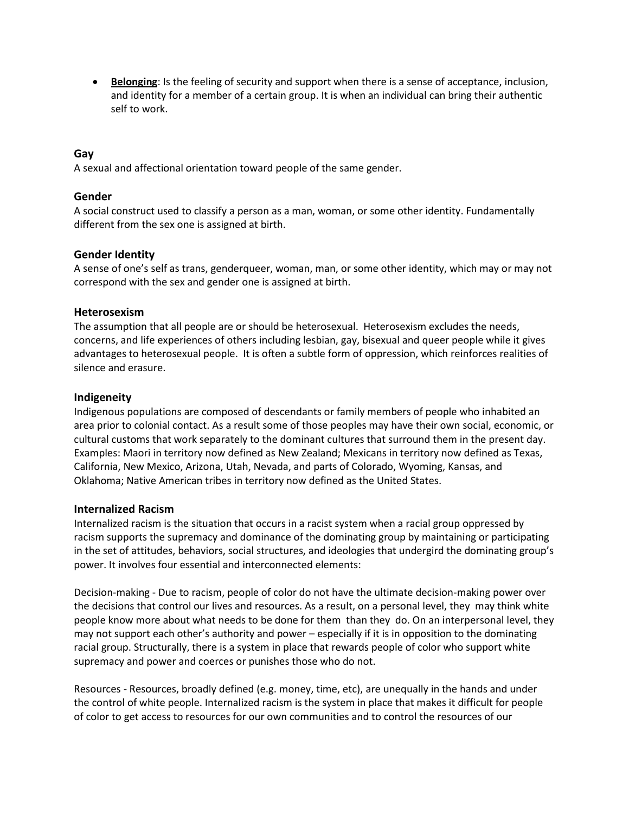**Belonging**: Is the feeling of security and support when there is a sense of acceptance, inclusion, and identity for a member of a certain group. It is when an individual can bring their authentic self to work.

## **Gay**

A sexual and affectional orientation toward people of the same gender.

#### **Gender**

A social construct used to classify a person as a man, woman, or some other identity. Fundamentally different from the sex one is assigned at birth.

## **Gender Identity**

A sense of one's self as trans, genderqueer, woman, man, or some other identity, which may or may not correspond with the sex and gender one is assigned at birth.

#### **Heterosexism**

The assumption that all people are or should be heterosexual. Heterosexism excludes the needs, concerns, and life experiences of others including lesbian, gay, bisexual and queer people while it gives advantages to heterosexual people. It is often a subtle form of oppression, which reinforces realities of silence and erasure.

## **Indigeneity**

Indigenous populations are composed of descendants or family members of people who inhabited an area prior to colonial contact. As a result some of those peoples may have their own social, economic, or cultural customs that work separately to the dominant cultures that surround them in the present day. Examples: Maori in territory now defined as New Zealand; Mexicans in territory now defined as Texas, California, New Mexico, Arizona, Utah, Nevada, and parts of Colorado, Wyoming, Kansas, and Oklahoma; Native American tribes in territory now defined as the United States.

## **Internalized Racism**

Internalized racism is the situation that occurs in a racist system when a racial group oppressed by racism supports the supremacy and dominance of the dominating group by maintaining or participating in the set of attitudes, behaviors, social structures, and ideologies that undergird the dominating group's power. It involves four essential and interconnected elements:

Decision-making - Due to racism, people of color do not have the ultimate decision-making power over the decisions that control our lives and resources. As a result, on a personal level, they may think white people know more about what needs to be done for them than they do. On an interpersonal level, they may not support each other's authority and power – especially if it is in opposition to the dominating racial group. Structurally, there is a system in place that rewards people of color who support white supremacy and power and coerces or punishes those who do not.

Resources - Resources, broadly defined (e.g. money, time, etc), are unequally in the hands and under the control of white people. Internalized racism is the system in place that makes it difficult for people of color to get access to resources for our own communities and to control the resources of our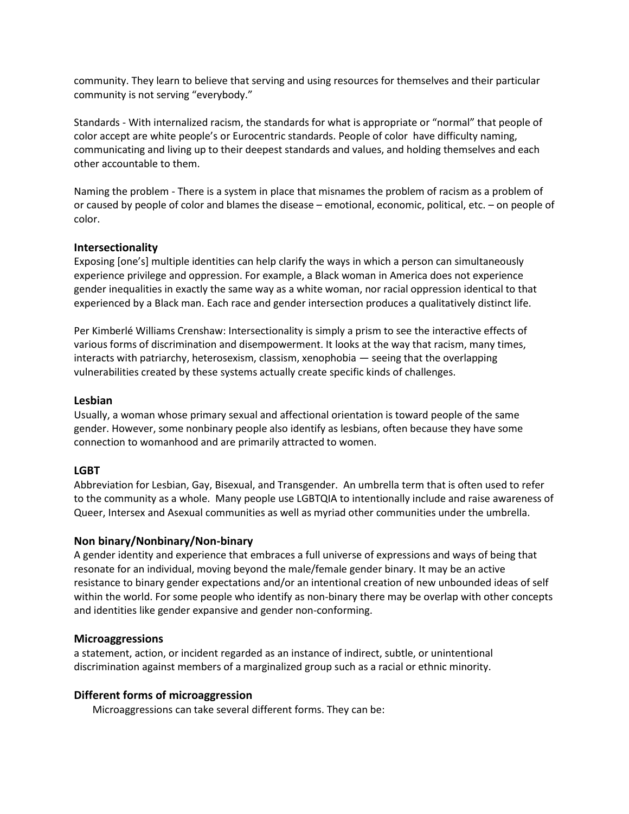community. They learn to believe that serving and using resources for themselves and their particular community is not serving "everybody."

Standards - With internalized racism, the standards for what is appropriate or "normal" that people of color accept are white people's or Eurocentric standards. People of color have difficulty naming, communicating and living up to their deepest standards and values, and holding themselves and each other accountable to them.

Naming the problem - There is a system in place that misnames the problem of racism as a problem of or caused by people of color and blames the disease – emotional, economic, political, etc. – on people of color.

## **Intersectionality**

Exposing [one's] multiple identities can help clarify the ways in which a person can simultaneously experience privilege and oppression. For example, a Black woman in America does not experience gender inequalities in exactly the same way as a white woman, nor racial oppression identical to that experienced by a Black man. Each race and gender intersection produces a qualitatively distinct life.

Per Kimberlé Williams Crenshaw: Intersectionality is simply a prism to see the interactive effects of various forms of discrimination and disempowerment. It looks at the way that racism, many times, interacts with patriarchy, heterosexism, classism, xenophobia — seeing that the overlapping vulnerabilities created by these systems actually create specific kinds of challenges.

## **Lesbian**

Usually, a woman whose primary sexual and affectional orientation is toward people of the same gender. However, some nonbinary people also identify as lesbians, often because they have some connection to womanhood and are primarily attracted to women.

# **LGBT**

Abbreviation for Lesbian, Gay, Bisexual, and Transgender. An umbrella term that is often used to refer to the community as a whole. Many people use LGBTQIA to intentionally include and raise awareness of Queer, Intersex and Asexual communities as well as myriad other communities under the umbrella.

## **Non binary/Nonbinary/Non-binary**

A gender identity and experience that embraces a full universe of expressions and ways of being that resonate for an individual, moving beyond the male/female gender binary. It may be an active resistance to binary gender expectations and/or an intentional creation of new unbounded ideas of self within the world. For some people who identify as non-binary there may be overlap with other concepts and identities like gender expansive and gender non-conforming.

## **Microaggressions**

a statement, action, or incident regarded as an instance of indirect, subtle, or unintentional discrimination against members of a marginalized group such as a racial or ethnic minority.

## **Different forms of microaggression**

Microaggressions can take several different forms. They can be: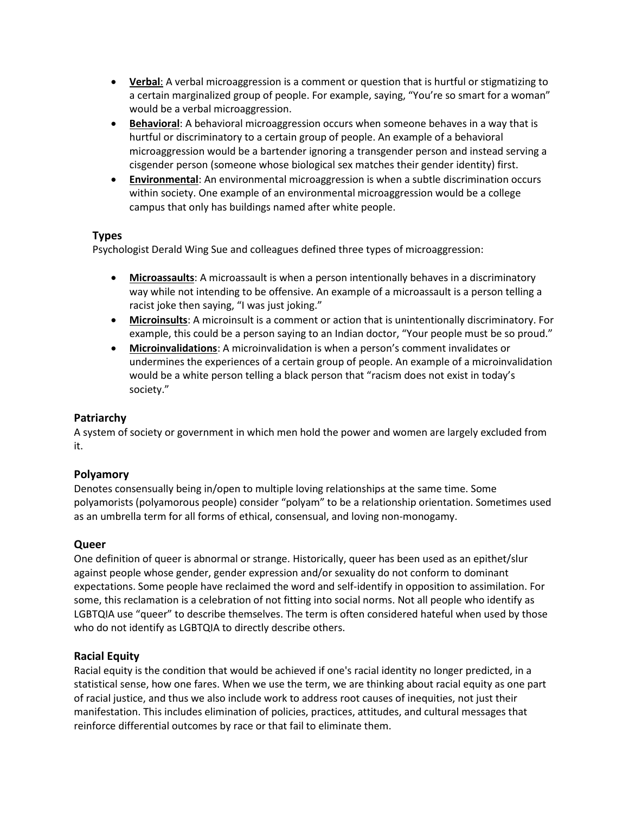- **Verbal**: A verbal microaggression is a comment or question that is hurtful or stigmatizing to a certain marginalized group of people. For example, saying, "You're so smart for a woman" would be a verbal microaggression.
- **Behavioral**: A behavioral microaggression occurs when someone behaves in a way that is hurtful or discriminatory to a certain group of people. An example of a behavioral microaggression would be a bartender ignoring a transgender person and instead serving a cisgender person (someone whose biological sex matches their gender identity) first.
- **Environmental**: An environmental microaggression is when a subtle discrimination occurs within society. One example of an environmental microaggression would be a college campus that only has buildings named after white people.

# **Types**

Psychologist Derald Wing Sue and colleagues defined three types of microaggression:

- **Microassaults**: A microassault is when a person intentionally behaves in a discriminatory way while not intending to be offensive. An example of a microassault is a person telling a racist joke then saying, "I was just joking."
- **Microinsults**: A microinsult is a comment or action that is unintentionally discriminatory. For example, this could be a person saying to an Indian doctor, "Your people must be so proud."
- **Microinvalidations**: A microinvalidation is when a person's comment invalidates or undermines the experiences of a certain group of people. An example of a microinvalidation would be a white person telling a black person that "racism does not exist in today's society."

# **Patriarchy**

A system of society or government in which men hold the power and women are largely excluded from it.

# **Polyamory**

Denotes consensually being in/open to multiple loving relationships at the same time. Some polyamorists (polyamorous people) consider "polyam" to be a relationship orientation. Sometimes used as an umbrella term for all forms of ethical, consensual, and loving non-monogamy.

# **Queer**

One definition of queer is abnormal or strange. Historically, queer has been used as an epithet/slur against people whose gender, gender expression and/or sexuality do not conform to dominant expectations. Some people have reclaimed the word and self-identify in opposition to assimilation. For some, this reclamation is a celebration of not fitting into social norms. Not all people who identify as LGBTQIA use "queer" to describe themselves. The term is often considered hateful when used by those who do not identify as LGBTQIA to directly describe others.

## **Racial Equity**

Racial equity is the condition that would be achieved if one's racial identity no longer predicted, in a statistical sense, how one fares. When we use the term, we are thinking about racial equity as one part of racial justice, and thus we also include work to address root causes of inequities, not just their manifestation. This includes elimination of policies, practices, attitudes, and cultural messages that reinforce differential outcomes by race or that fail to eliminate them.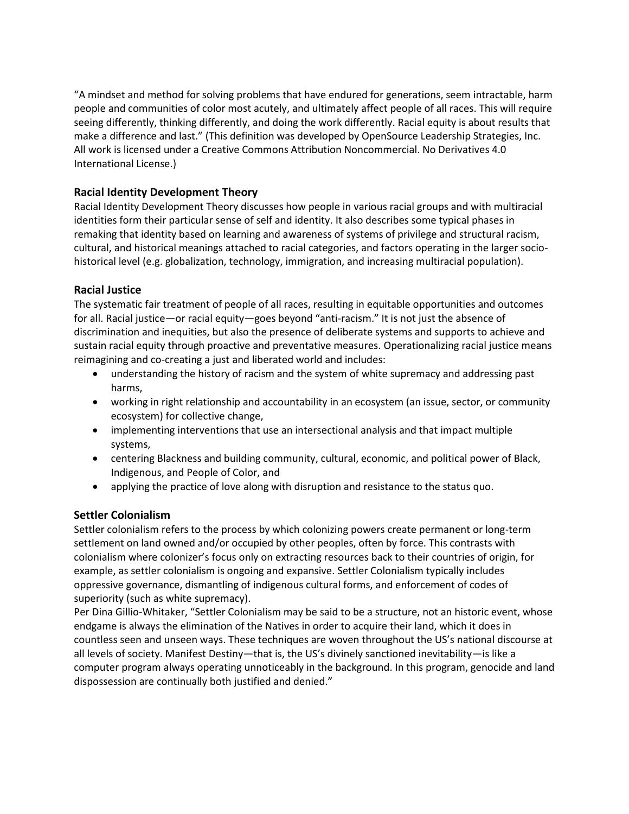"A mindset and method for solving problems that have endured for generations, seem intractable, harm people and communities of color most acutely, and ultimately affect people of all races. This will require seeing differently, thinking differently, and doing the work differently. Racial equity is about results that make a difference and last." (This definition was developed by OpenSource Leadership Strategies, Inc. All work is licensed under a Creative Commons Attribution Noncommercial. No Derivatives 4.0 International License.)

# **Racial Identity Development Theory**

Racial Identity Development Theory discusses how people in various racial groups and with multiracial identities form their particular sense of self and identity. It also describes some typical phases in remaking that identity based on learning and awareness of systems of privilege and structural racism, cultural, and historical meanings attached to racial categories, and factors operating in the larger sociohistorical level (e.g. globalization, technology, immigration, and increasing multiracial population).

# **Racial Justice**

The systematic fair treatment of people of all races, resulting in equitable opportunities and outcomes for all. Racial justice—or racial equity—goes beyond "anti-racism." It is not just the absence of discrimination and inequities, but also the presence of deliberate systems and supports to achieve and sustain racial equity through proactive and preventative measures. Operationalizing racial justice means reimagining and co-creating a just and liberated world and includes:

- understanding the history of racism and the system of white supremacy and addressing past harms,
- working in right relationship and accountability in an ecosystem (an issue, sector, or community ecosystem) for collective change,
- implementing interventions that use an intersectional analysis and that impact multiple systems,
- centering Blackness and building community, cultural, economic, and political power of Black, Indigenous, and People of Color, and
- applying the practice of love along with disruption and resistance to the status quo.

# **Settler Colonialism**

Settler colonialism refers to the process by which colonizing powers create permanent or long-term settlement on land owned and/or occupied by other peoples, often by force. This contrasts with colonialism where colonizer's focus only on extracting resources back to their countries of origin, for example, as settler colonialism is ongoing and expansive. Settler Colonialism typically includes oppressive governance, dismantling of indigenous cultural forms, and enforcement of codes of superiority (such as white supremacy).

Per Dina Gillio-Whitaker, "Settler Colonialism may be said to be a structure, not an historic event, whose endgame is always the elimination of the Natives in order to acquire their land, which it does in countless seen and unseen ways. These techniques are woven throughout the US's national discourse at all levels of society. Manifest Destiny—that is, the US's divinely sanctioned inevitability—is like a computer program always operating unnoticeably in the background. In this program, genocide and land dispossession are continually both justified and denied."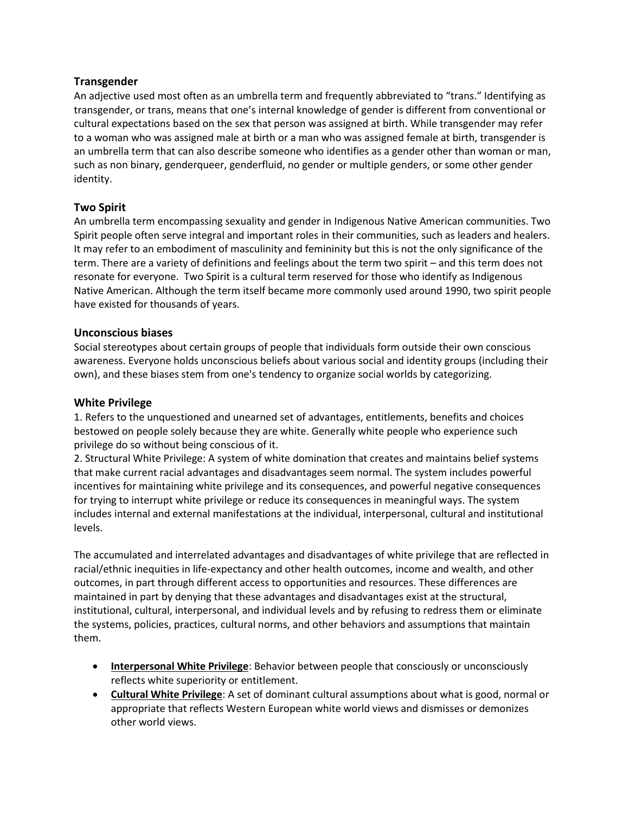## **Transgender**

An adjective used most often as an umbrella term and frequently abbreviated to "trans." Identifying as transgender, or trans, means that one's internal knowledge of gender is different from conventional or cultural expectations based on the sex that person was assigned at birth. While transgender may refer to a woman who was assigned male at birth or a man who was assigned female at birth, transgender is an umbrella term that can also describe someone who identifies as a gender other than woman or man, such as non binary, genderqueer, genderfluid, no gender or multiple genders, or some other gender identity.

## **Two Spirit**

An umbrella term encompassing sexuality and gender in Indigenous Native American communities. Two Spirit people often serve integral and important roles in their communities, such as leaders and healers. It may refer to an embodiment of masculinity and femininity but this is not the only significance of the term. There are a variety of definitions and feelings about the term two spirit – and this term does not resonate for everyone. Two Spirit is a cultural term reserved for those who identify as Indigenous Native American. Although the term itself became more commonly used around 1990, two spirit people have existed for thousands of years.

## **Unconscious biases**

Social stereotypes about certain groups of people that individuals form outside their own conscious awareness. Everyone holds unconscious beliefs about various social and identity groups (including their own), and these biases stem from one's tendency to organize social worlds by categorizing.

## **White Privilege**

1. Refers to the unquestioned and unearned set of advantages, entitlements, benefits and choices bestowed on people solely because they are white. Generally white people who experience such privilege do so without being conscious of it.

2. Structural White Privilege: A system of white domination that creates and maintains belief systems that make current racial advantages and disadvantages seem normal. The system includes powerful incentives for maintaining white privilege and its consequences, and powerful negative consequences for trying to interrupt white privilege or reduce its consequences in meaningful ways. The system includes internal and external manifestations at the individual, interpersonal, cultural and institutional levels.

The accumulated and interrelated advantages and disadvantages of white privilege that are reflected in racial/ethnic inequities in life-expectancy and other health outcomes, income and wealth, and other outcomes, in part through different access to opportunities and resources. These differences are maintained in part by denying that these advantages and disadvantages exist at the structural, institutional, cultural, interpersonal, and individual levels and by refusing to redress them or eliminate the systems, policies, practices, cultural norms, and other behaviors and assumptions that maintain them.

- **Interpersonal White Privilege**: Behavior between people that consciously or unconsciously reflects white superiority or entitlement.
- **Cultural White Privilege**: A set of dominant cultural assumptions about what is good, normal or appropriate that reflects Western European white world views and dismisses or demonizes other world views.